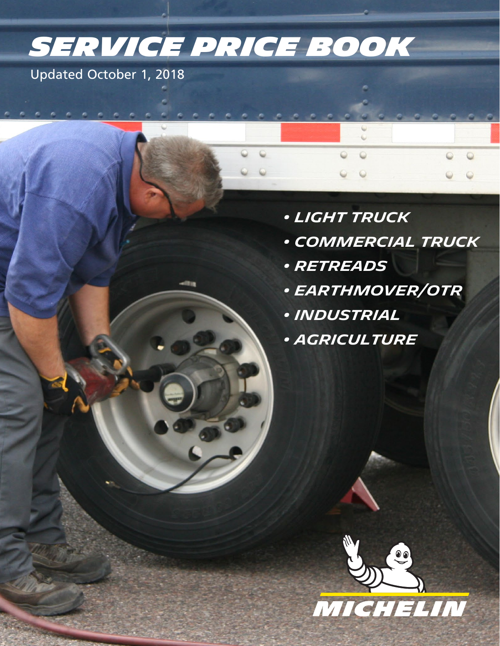# *Service Price Book*

1

Updated October 1, 2018

- *Light Truck*
- *Commercial Truck*
- *Retreads*
- *Earthmover/OTR*
- *Industrial*
- *Agriculture*

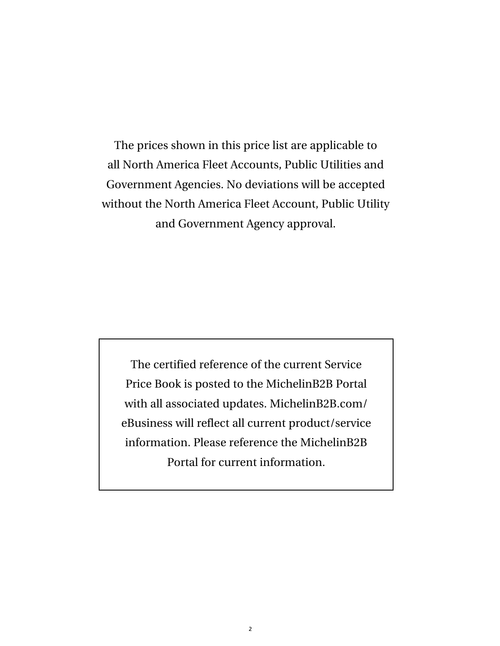The prices shown in this price list are applicable to all North America Fleet Accounts, Public Utilities and Government Agencies. No deviations will be accepted without the North America Fleet Account, Public Utility and Government Agency approval.

The certified reference of the current Service Price Book is posted to the MichelinB2B Portal with all associated updates. MichelinB2B.com/ eBusiness will reflect all current product/service information. Please reference the MichelinB2B Portal for current information.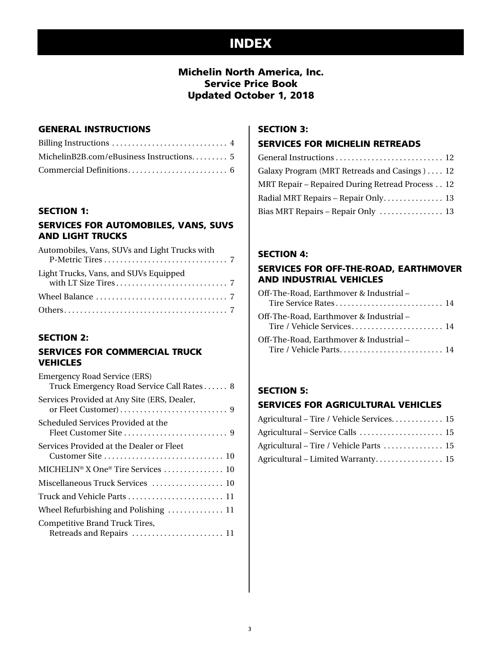# INDEX

### Michelin North America, Inc. Service Price Book Updated October 1, 2018

### GENERAL INSTRUCTIONS

| MichelinB2B.com/eBusiness Instructions 5 |  |
|------------------------------------------|--|
|                                          |  |

### SECTION 1:

### SERVICES FOR AUTOMOBILES, VANS, SUVS AND LIGHT TRUCKS

| Automobiles, Vans, SUVs and Light Trucks with                             |  |
|---------------------------------------------------------------------------|--|
| Light Trucks, Vans, and SUVs Equipped                                     |  |
| Wheel Balance $\ldots, \ldots, \ldots, \ldots, \ldots, \ldots, \ldots, 7$ |  |
|                                                                           |  |

### SECTION 2:

### SERVICES FOR COMMERCIAL TRUCK **VEHICLES**

| <b>Emergency Road Service (ERS)</b><br>Truck Emergency Road Service Call Rates 8 |
|----------------------------------------------------------------------------------|
| Services Provided at Any Site (ERS, Dealer,                                      |
| Scheduled Services Provided at the                                               |
| Services Provided at the Dealer or Fleet                                         |
| MICHELIN <sup>®</sup> X One® Tire Services  10                                   |
| Miscellaneous Truck Services  10                                                 |
| Truck and Vehicle Parts . $\dots\dots\dots\dots\dots\dots\dots\dots$             |
| Wheel Refurbishing and Polishing  11                                             |
| Competitive Brand Truck Tires,<br>Retreads and Repairs  11                       |

### SECTION 3:

### SERVICES FOR MICHELIN RETREADS

| General Instructions  12                        |
|-------------------------------------------------|
| Galaxy Program (MRT Retreads and Casings) 12    |
| MRT Repair – Repaired During Retread Process 12 |
| Radial MRT Repairs - Repair Only 13             |
| Bias MRT Repairs - Repair Only  13              |
|                                                 |

### SECTION 4:

### SERVICES FOR OFF-THE-ROAD, EARTHMOVER AND INDUSTRIAL VEHICLES

| Off-The-Road, Earthmover & Industrial – |  |
|-----------------------------------------|--|
| Off-The-Road, Earthmover & Industrial – |  |
| Off-The-Road, Earthmover & Industrial – |  |

### SECTION 5:

### SERVICES FOR AGRICULTURAL VEHICLES

| Agricultural - Tire / Vehicle Services 15 |  |
|-------------------------------------------|--|
|                                           |  |
| Agricultural – Tire / Vehicle Parts  15   |  |
| Agricultural - Limited Warranty 15        |  |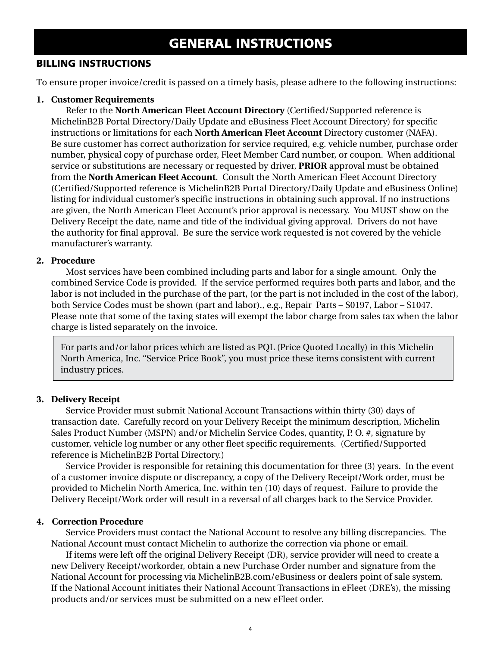# GENERAL INSTRUCTIONS

### BILLING INSTRUCTIONS

To ensure proper invoice/credit is passed on a timely basis, please adhere to the following instructions:

### **1. Customer Requirements**

Refer to the **North American Fleet Account Directory** (Certified/Supported reference is MichelinB2B Portal Directory/Daily Update and eBusiness Fleet Account Directory) for specific instructions or limitations for each **North American Fleet Account** Directory customer (NAFA). Be sure customer has correct authorization for service required, e.g. vehicle number, purchase order number, physical copy of purchase order, Fleet Member Card number, or coupon. When additional service or substitutions are necessary or requested by driver, **PRIOR** approval must be obtained from the **North American Fleet Account**. Consult the North American Fleet Account Directory (Certified/Supported reference is MichelinB2B Portal Directory/Daily Update and eBusiness Online) listing for individual customer's specific instructions in obtaining such approval. If no instructions are given, the North American Fleet Account's prior approval is necessary. You MUST show on the Delivery Receipt the date, name and title of the individual giving approval. Drivers do not have the authority for final approval. Be sure the service work requested is not covered by the vehicle manufacturer's warranty.

### **2. Procedure**

Most services have been combined including parts and labor for a single amount. Only the combined Service Code is provided. If the service performed requires both parts and labor, and the labor is not included in the purchase of the part, (or the part is not included in the cost of the labor), both Service Codes must be shown (part and labor)., e.g., Repair Parts – S0197, Labor – S1047. Please note that some of the taxing states will exempt the labor charge from sales tax when the labor charge is listed separately on the invoice.

For parts and/or labor prices which are listed as PQL (Price Quoted Locally) in this Michelin North America, Inc. "Service Price Book", you must price these items consistent with current industry prices.

### **3. Delivery Receipt**

Service Provider must submit National Account Transactions within thirty (30) days of transaction date. Carefully record on your Delivery Receipt the minimum description, Michelin Sales Product Number (MSPN) and/or Michelin Service Codes, quantity, P. O. #, signature by customer, vehicle log number or any other fleet specific requirements. (Certified/Supported reference is MichelinB2B Portal Directory.)

Service Provider is responsible for retaining this documentation for three (3) years. In the event of a customer invoice dispute or discrepancy, a copy of the Delivery Receipt/Work order, must be provided to Michelin North America, Inc. within ten (10) days of request. Failure to provide the Delivery Receipt/Work order will result in a reversal of all charges back to the Service Provider.

### **4. Correction Procedure**

Service Providers must contact the National Account to resolve any billing discrepancies. The National Account must contact Michelin to authorize the correction via phone or email.

If items were left off the original Delivery Receipt (DR), service provider will need to create a new Delivery Receipt/workorder, obtain a new Purchase Order number and signature from the National Account for processing via MichelinB2B.com/eBusiness or dealers point of sale system. If the National Account initiates their National Account Transactions in eFleet (DRE's), the missing products and/or services must be submitted on a new eFleet order.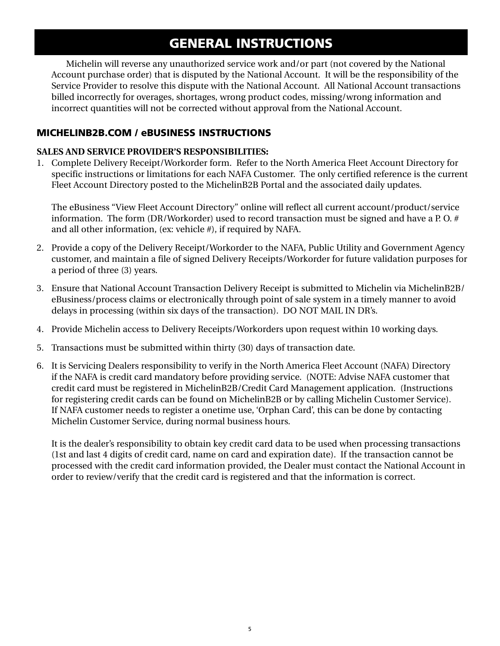# GENERAL INSTRUCTIONS

Michelin will reverse any unauthorized service work and/or part (not covered by the National Account purchase order) that is disputed by the National Account. It will be the responsibility of the Service Provider to resolve this dispute with the National Account. All National Account transactions billed incorrectly for overages, shortages, wrong product codes, missing/wrong information and incorrect quantities will not be corrected without approval from the National Account.

### MICHELINB2B.COM / eBUSINESS INSTRUCTIONS

### **SALES AND SERVICE PROVIDER'S RESPONSIBILITIES:**

1. Complete Delivery Receipt/Workorder form. Refer to the North America Fleet Account Directory for specific instructions or limitations for each NAFA Customer. The only certified reference is the current Fleet Account Directory posted to the MichelinB2B Portal and the associated daily updates.

The eBusiness "View Fleet Account Directory" online will reflect all current account/product/service information. The form (DR/Workorder) used to record transaction must be signed and have a P. O. # and all other information, (ex: vehicle #), if required by NAFA.

- 2. Provide a copy of the Delivery Receipt/Workorder to the NAFA, Public Utility and Government Agency customer, and maintain a file of signed Delivery Receipts/Workorder for future validation purposes for a period of three (3) years.
- 3. Ensure that National Account Transaction Delivery Receipt is submitted to Michelin via MichelinB2B/ eBusiness/process claims or electronically through point of sale system in a timely manner to avoid delays in processing (within six days of the transaction). DO NOT MAIL IN DR's.
- 4. Provide Michelin access to Delivery Receipts/Workorders upon request within 10 working days.
- 5. Transactions must be submitted within thirty (30) days of transaction date.
- 6. It is Servicing Dealers responsibility to verify in the North America Fleet Account (NAFA) Directory if the NAFA is credit card mandatory before providing service. (NOTE: Advise NAFA customer that credit card must be registered in MichelinB2B/Credit Card Management application. (Instructions for registering credit cards can be found on MichelinB2B or by calling Michelin Customer Service). If NAFA customer needs to register a onetime use, 'Orphan Card', this can be done by contacting Michelin Customer Service, during normal business hours.

It is the dealer's responsibility to obtain key credit card data to be used when processing transactions (1st and last 4 digits of credit card, name on card and expiration date). If the transaction cannot be processed with the credit card information provided, the Dealer must contact the National Account in order to review/verify that the credit card is registered and that the information is correct.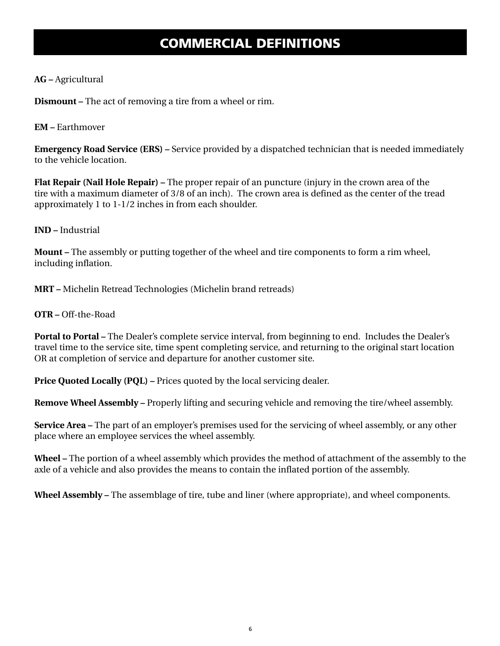# COMMERCIAL DEFINITIONS

### **AG –** Agricultural

**Dismount –** The act of removing a tire from a wheel or rim.

### **EM –** Earthmover

**Emergency Road Service (ERS) –** Service provided by a dispatched technician that is needed immediately to the vehicle location.

**Flat Repair (Nail Hole Repair) –** The proper repair of an puncture (injury in the crown area of the tire with a maximum diameter of 3/8 of an inch). The crown area is defined as the center of the tread approximately 1 to 1-1/2 inches in from each shoulder.

### **IND –** Industrial

**Mount –** The assembly or putting together of the wheel and tire components to form a rim wheel, including inflation.

**MRT –** Michelin Retread Technologies (Michelin brand retreads)

**OTR –** Off-the-Road

**Portal to Portal –** The Dealer's complete service interval, from beginning to end. Includes the Dealer's travel time to the service site, time spent completing service, and returning to the original start location OR at completion of service and departure for another customer site.

**Price Quoted Locally (PQL) –** Prices quoted by the local servicing dealer.

**Remove Wheel Assembly –** Properly lifting and securing vehicle and removing the tire/wheel assembly.

**Service Area –** The part of an employer's premises used for the servicing of wheel assembly, or any other place where an employee services the wheel assembly.

**Wheel –** The portion of a wheel assembly which provides the method of attachment of the assembly to the axle of a vehicle and also provides the means to contain the inflated portion of the assembly.

**Wheel Assembly –** The assemblage of tire, tube and liner (where appropriate), and wheel components.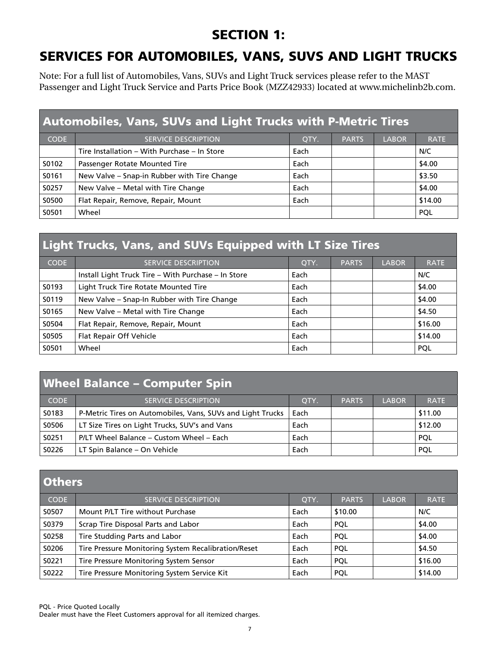# SECTION 1:

# SERVICES FOR AUTOMOBILES, VANS, SUVS AND LIGHT TRUCKS

Note: For a full list of Automobiles, Vans, SUVs and Light Truck services please refer to the MAST Passenger and Light Truck Service and Parts Price Book (MZZ42933) located at www.michelinb2b.com.

| <b>Automobiles, Vans, SUVs and Light Trucks with P-Metric Tires</b> |                                              |      |              |              |             |  |
|---------------------------------------------------------------------|----------------------------------------------|------|--------------|--------------|-------------|--|
| <b>CODE</b>                                                         | <b>SERVICE DESCRIPTION</b>                   | QTY. | <b>PARTS</b> | <b>LABOR</b> | <b>RATE</b> |  |
|                                                                     | Tire Installation - With Purchase - In Store | Each |              |              | N/C         |  |
| S0102                                                               | Passenger Rotate Mounted Tire                | Each |              |              | \$4.00      |  |
| S0161                                                               | New Valve - Snap-in Rubber with Tire Change  | Each |              |              | \$3.50      |  |
| S0257                                                               | New Valve - Metal with Tire Change           | Each |              |              | \$4.00      |  |
| S0500                                                               | Flat Repair, Remove, Repair, Mount           | Each |              |              | \$14.00     |  |
| S0501                                                               | Wheel                                        |      |              |              | <b>POL</b>  |  |

# Light Trucks, Vans, and SUVs Equipped with LT Size Tires

| <b>CODE</b> | <b>SERVICE DESCRIPTION</b>                          | OTY. | <b>PARTS</b> | <b>LABOR</b> | <b>RATE</b> |
|-------------|-----------------------------------------------------|------|--------------|--------------|-------------|
|             | Install Light Truck Tire - With Purchase - In Store | Each |              |              | N/C         |
| S0193       | Light Truck Tire Rotate Mounted Tire                | Each |              |              | \$4.00      |
| S0119       | New Valve - Snap-In Rubber with Tire Change         | Each |              |              | \$4.00      |
| S0165       | New Valve - Metal with Tire Change                  | Each |              |              | \$4.50      |
| S0504       | Flat Repair, Remove, Repair, Mount                  | Each |              |              | \$16.00     |
| S0505       | Flat Repair Off Vehicle                             | Each |              |              | \$14.00     |
| S0501       | Wheel                                               | Each |              |              | <b>POL</b>  |

# Wheel Balance – Computer Spin

| <b>CODE</b> | <b>SERVICE DESCRIPTION</b>                                 | OTY. | <b>PARTS</b> | <b>LABOR</b> | <b>RATE</b> |
|-------------|------------------------------------------------------------|------|--------------|--------------|-------------|
| S0183       | P-Metric Tires on Automobiles, Vans, SUVs and Light Trucks | Each |              |              | \$11.00     |
| S0506       | LT Size Tires on Light Trucks, SUV's and Vans              | Each |              |              | \$12.00     |
| S0251       | P/LT Wheel Balance – Custom Wheel – Each                   | Each |              |              | <b>POL</b>  |
| S0226       | LT Spin Balance – On Vehicle                               | Each |              |              | <b>POL</b>  |

| <b>Others</b> |                                                     |      |              |              |             |  |
|---------------|-----------------------------------------------------|------|--------------|--------------|-------------|--|
| <b>CODE</b>   | <b>SERVICE DESCRIPTION</b>                          | QTY. | <b>PARTS</b> | <b>LABOR</b> | <b>RATE</b> |  |
| S0507         | Mount P/LT Tire without Purchase                    | Each | \$10.00      |              | N/C         |  |
| S0379         | Scrap Tire Disposal Parts and Labor                 | Each | PQL          |              | \$4.00      |  |
| S0258         | Tire Studding Parts and Labor                       | Each | <b>POL</b>   |              | \$4.00      |  |
| S0206         | Tire Pressure Monitoring System Recalibration/Reset | Each | <b>POL</b>   |              | \$4.50      |  |
| S0221         | Tire Pressure Monitoring System Sensor              | Each | <b>POL</b>   |              | \$16.00     |  |
| S0222         | Tire Pressure Monitoring System Service Kit         | Each | <b>POL</b>   |              | \$14.00     |  |

PQL - Price Quoted Locally

Dealer must have the Fleet Customers approval for all itemized charges.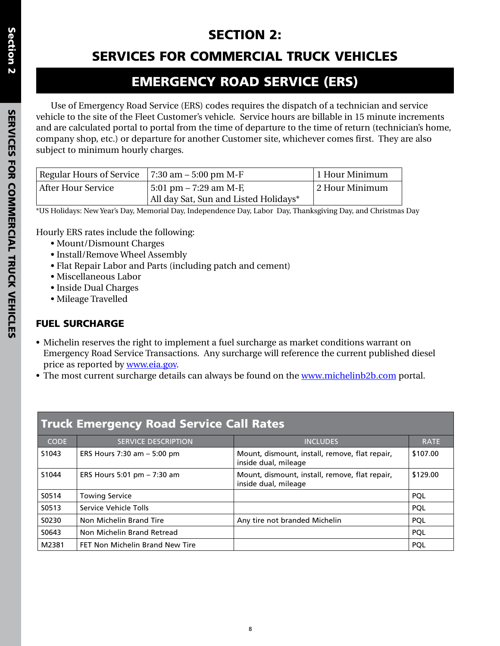# SECTION 2:

# SERVICES FOR COMMERCIAL TRUCK VEHICLES

# EMERGENCY ROAD SERVICE (ERS)

Use of Emergency Road Service (ERS) codes requires the dispatch of a technician and service vehicle to the site of the Fleet Customer's vehicle. Service hours are billable in 15 minute increments and are calculated portal to portal from the time of departure to the time of return (technician's home, company shop, etc.) or departure for another Customer site, whichever comes first. They are also subject to minimum hourly charges.

| Regular Hours of Service $\vert$ 7:30 am – 5:00 pm M-F |                                       | 1 Hour Minimum |
|--------------------------------------------------------|---------------------------------------|----------------|
| After Hour Service                                     | 5:01 pm – 7:29 am M-F,                | 2 Hour Minimum |
|                                                        | All day Sat, Sun and Listed Holidays* |                |

\*US Holidays: New Year's Day, Memorial Day, Independence Day, Labor Day, Thanksgiving Day, and Christmas Day

Hourly ERS rates include the following:

- Mount/Dismount Charges
- Install/Remove Wheel Assembly
- Flat Repair Labor and Parts (including patch and cement)
- Miscellaneous Labor
- Inside Dual Charges
- Mileage Travelled

# FUEL SURCHARGE

- Michelin reserves the right to implement a fuel surcharge as market conditions warrant on Emergency Road Service Transactions. Any surcharge will reference the current published diesel price as reported by [www.eia.gov](http://www.eia.gov).
- The most current surcharge details can always be found on the [www.michelinb2b.com](http://www.michelinb2b.com) portal.

| <b>Truck Emergency Road Service Call Rates</b> |                                 |                                                                        |             |  |  |  |
|------------------------------------------------|---------------------------------|------------------------------------------------------------------------|-------------|--|--|--|
| <b>CODE</b>                                    | <b>SERVICE DESCRIPTION</b>      | <b>INCLUDES</b>                                                        | <b>RATE</b> |  |  |  |
| S <sub>1043</sub>                              | ERS Hours $7:30$ am $-5:00$ pm  | Mount, dismount, install, remove, flat repair,<br>inside dual, mileage | \$107.00    |  |  |  |
| S1044                                          | ERS Hours 5:01 pm - 7:30 am     | Mount, dismount, install, remove, flat repair,<br>inside dual, mileage | \$129.00    |  |  |  |
| S0514                                          | <b>Towing Service</b>           |                                                                        | <b>POL</b>  |  |  |  |
| S0513                                          | Service Vehicle Tolls           |                                                                        | <b>POL</b>  |  |  |  |
| S0230                                          | Non Michelin Brand Tire         | Any tire not branded Michelin                                          | <b>POL</b>  |  |  |  |
| S0643                                          | Non Michelin Brand Retread      |                                                                        | <b>POL</b>  |  |  |  |
| M2381                                          | FET Non Michelin Brand New Tire |                                                                        | <b>POL</b>  |  |  |  |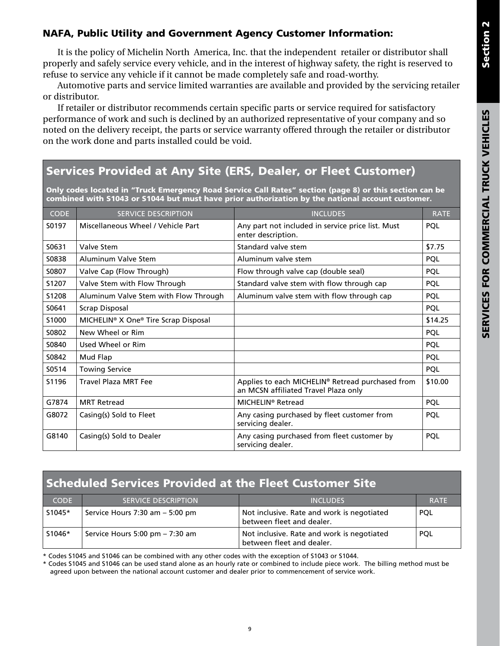# SERVICES FOR COMMERCIAL TRUCK VEHICLES SERVICES FOR COMMERCIAL TRUCK VEHICLES

### NAFA, Public Utility and Government Agency Customer Information:

It is the policy of Michelin North America, Inc. that the independent retailer or distributor shall properly and safely service every vehicle, and in the interest of highway safety, the right is reserved to refuse to service any vehicle if it cannot be made completely safe and road-worthy.

Automotive parts and service limited warranties are available and provided by the servicing retailer or distributor.

If retailer or distributor recommends certain specific parts or service required for satisfactory performance of work and such is declined by an authorized representative of your company and so noted on the delivery receipt, the parts or service warranty offered through the retailer or distributor on the work done and parts installed could be void.

# Services Provided at Any Site (ERS, Dealer, or Fleet Customer)

Only codes located in "Truck Emergency Road Service Call Rates" section (page 8) or this section can be combined with S1043 or S1044 but must have prior authorization by the national account customer.

| <b>CODE</b> | <b>SERVICE DESCRIPTION</b>                                   | <b>INCLUDES</b>                                                                          | <b>RATE</b> |
|-------------|--------------------------------------------------------------|------------------------------------------------------------------------------------------|-------------|
| S0197       | Miscellaneous Wheel / Vehicle Part                           | Any part not included in service price list. Must<br>enter description.                  | <b>PQL</b>  |
| S0631       | Valve Stem                                                   | Standard valve stem                                                                      | \$7.75      |
| S0838       | Aluminum Valve Stem                                          | Aluminum valve stem                                                                      | <b>PQL</b>  |
| S0807       | Valve Cap (Flow Through)                                     | Flow through valve cap (double seal)                                                     | <b>PQL</b>  |
| S1207       | Valve Stem with Flow Through                                 | Standard valve stem with flow through cap                                                | <b>PQL</b>  |
| S1208       | Aluminum Valve Stem with Flow Through                        | Aluminum valve stem with flow through cap                                                | PQL         |
| S0641       | Scrap Disposal                                               |                                                                                          | <b>PQL</b>  |
| S1000       | MICHELIN <sup>®</sup> X One <sup>®</sup> Tire Scrap Disposal |                                                                                          | \$14.25     |
| S0802       | New Wheel or Rim                                             |                                                                                          | <b>PQL</b>  |
| S0840       | Used Wheel or Rim                                            |                                                                                          | <b>PQL</b>  |
| S0842       | Mud Flap                                                     |                                                                                          | <b>PQL</b>  |
| S0514       | <b>Towing Service</b>                                        |                                                                                          | <b>PQL</b>  |
| S1196       | <b>Travel Plaza MRT Fee</b>                                  | Applies to each MICHELIN® Retread purchased from<br>an MCSN affiliated Travel Plaza only | \$10.00     |
| G7874       | <b>MRT Retread</b>                                           | MICHELIN <sup>®</sup> Retread                                                            | <b>PQL</b>  |
| G8072       | Casing(s) Sold to Fleet                                      | Any casing purchased by fleet customer from<br>servicing dealer.                         | PQL         |
| G8140       | Casing(s) Sold to Dealer                                     | Any casing purchased from fleet customer by<br>servicing dealer.                         | PQL         |

### Scheduled Services Provided at the Fleet Customer Site

| <b>CODE</b> | <b>SERVICE DESCRIPTION</b>         | <b>INCLUDES</b>                                                         | <b>RATE</b> |
|-------------|------------------------------------|-------------------------------------------------------------------------|-------------|
| S1045*      | Service Hours $7:30$ am $-5:00$ pm | Not inclusive. Rate and work is negotiated<br>between fleet and dealer. | <b>POL</b>  |
| S1046*      | Service Hours 5:00 pm $- 7:30$ am  | Not inclusive. Rate and work is negotiated<br>between fleet and dealer. | <b>POL</b>  |

\* Codes S1045 and S1046 can be combined with any other codes with the exception of S1043 or S1044.

\* Codes S1045 and S1046 can be used stand alone as an hourly rate or combined to include piece work. The billing method must be agreed upon between the national account customer and dealer prior to commencement of service work.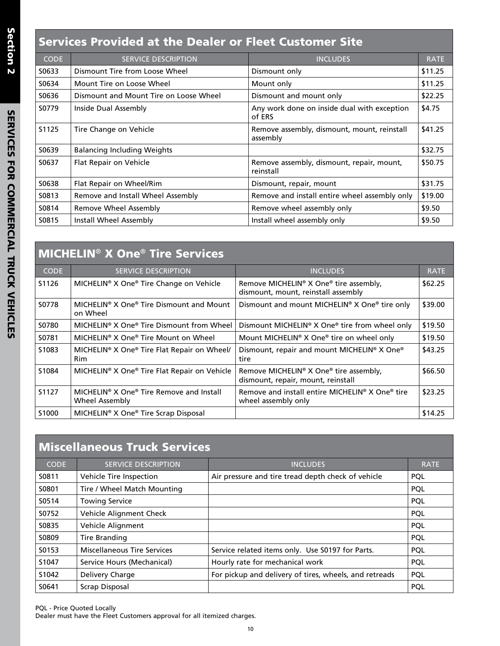# Services Provided at the Dealer or Fleet Customer Site

| <b>CODE</b> | <b>SERVICE DESCRIPTION</b>             | <b>INCLUDES</b>                                         | <b>RATE</b> |
|-------------|----------------------------------------|---------------------------------------------------------|-------------|
| S0633       | Dismount Tire from Loose Wheel         | Dismount only                                           | \$11.25     |
| S0634       | Mount Tire on Loose Wheel              | Mount only                                              | \$11.25     |
| S0636       | Dismount and Mount Tire on Loose Wheel | Dismount and mount only                                 | \$22.25     |
| S0779       | Inside Dual Assembly                   | Any work done on inside dual with exception<br>of ERS   | \$4.75      |
| S1125       | Tire Change on Vehicle                 | Remove assembly, dismount, mount, reinstall<br>assembly | \$41.25     |
| S0639       | <b>Balancing Including Weights</b>     |                                                         | \$32.75     |
| S0637       | Flat Repair on Vehicle                 | Remove assembly, dismount, repair, mount,<br>reinstall  | \$50.75     |
| S0638       | Flat Repair on Wheel/Rim               | Dismount, repair, mount                                 | \$31.75     |
| S0813       | Remove and Install Wheel Assembly      | Remove and install entire wheel assembly only           | \$19.00     |
| S0814       | Remove Wheel Assembly                  | Remove wheel assembly only                              | \$9.50      |
| S0815       | Install Wheel Assembly                 | Install wheel assembly only                             | \$9.50      |

|             | <b>MICHELIN<sup>®</sup> X One<sup>®</sup> Tire Services</b>                        |                                                                                                      |             |  |  |
|-------------|------------------------------------------------------------------------------------|------------------------------------------------------------------------------------------------------|-------------|--|--|
| <b>CODE</b> | <b>SERVICE DESCRIPTION</b>                                                         | <b>INCLUDES</b>                                                                                      | <b>RATE</b> |  |  |
| S1126       | MICHELIN <sup>®</sup> X One <sup>®</sup> Tire Change on Vehicle                    | Remove MICHELIN® X One® tire assembly,<br>dismount, mount, reinstall assembly                        | \$62.25     |  |  |
| S0778       | MICHELIN <sup>®</sup> X One <sup>®</sup> Tire Dismount and Mount<br>on Wheel       | Dismount and mount MICHELIN <sup>®</sup> X One <sup>®</sup> tire only                                | \$39.00     |  |  |
| S0780       | MICHELIN <sup>®</sup> X One <sup>®</sup> Tire Dismount from Wheel                  | Dismount MICHELIN <sup>®</sup> X One <sup>®</sup> tire from wheel only                               | \$19.50     |  |  |
| S0781       | MICHELIN <sup>®</sup> X One <sup>®</sup> Tire Mount on Wheel                       | Mount MICHELIN <sup>®</sup> X One <sup>®</sup> tire on wheel only                                    | \$19.50     |  |  |
| S1083       | MICHELIN <sup>®</sup> X One <sup>®</sup> Tire Flat Repair on Wheel/<br><b>Rim</b>  | Dismount, repair and mount MICHELIN® X One®<br>tire                                                  | \$43.25     |  |  |
| S1084       | MICHELIN <sup>®</sup> X One <sup>®</sup> Tire Flat Repair on Vehicle               | Remove MICHELIN <sup>®</sup> X One <sup>®</sup> tire assembly,<br>dismount, repair, mount, reinstall | \$66.50     |  |  |
| S1127       | MICHELIN <sup>®</sup> X One <sup>®</sup> Tire Remove and Install<br>Wheel Assembly | Remove and install entire MICHELIN <sup>®</sup> X One <sup>®</sup> tire<br>wheel assembly only       | \$23.25     |  |  |
| S1000       | MICHELIN <sup>®</sup> X One <sup>®</sup> Tire Scrap Disposal                       |                                                                                                      | \$14.25     |  |  |

| <b>Miscellaneous Truck Services</b> |                                    |                                                        |             |  |  |
|-------------------------------------|------------------------------------|--------------------------------------------------------|-------------|--|--|
| <b>CODE</b>                         | <b>SERVICE DESCRIPTION</b>         | <b>INCLUDES</b>                                        | <b>RATE</b> |  |  |
| S0811                               | Vehicle Tire Inspection            | Air pressure and tire tread depth check of vehicle     | <b>PQL</b>  |  |  |
| S0801                               | Tire / Wheel Match Mounting        |                                                        | <b>PQL</b>  |  |  |
| S0514                               | <b>Towing Service</b>              |                                                        | <b>PQL</b>  |  |  |
| S0752                               | Vehicle Alignment Check            |                                                        | <b>POL</b>  |  |  |
| S0835                               | Vehicle Alignment                  |                                                        | <b>PQL</b>  |  |  |
| S0809                               | Tire Branding                      |                                                        | <b>PQL</b>  |  |  |
| S0153                               | <b>Miscellaneous Tire Services</b> | Service related items only. Use S0197 for Parts.       | <b>POL</b>  |  |  |
| S1047                               | Service Hours (Mechanical)         | Hourly rate for mechanical work                        | <b>POL</b>  |  |  |
| S1042                               | Delivery Charge                    | For pickup and delivery of tires, wheels, and retreads | <b>POL</b>  |  |  |
| S0641                               | Scrap Disposal                     |                                                        | <b>POL</b>  |  |  |

PQL - Price Quoted Locally Dealer must have the Fleet Customers approval for all itemized charges.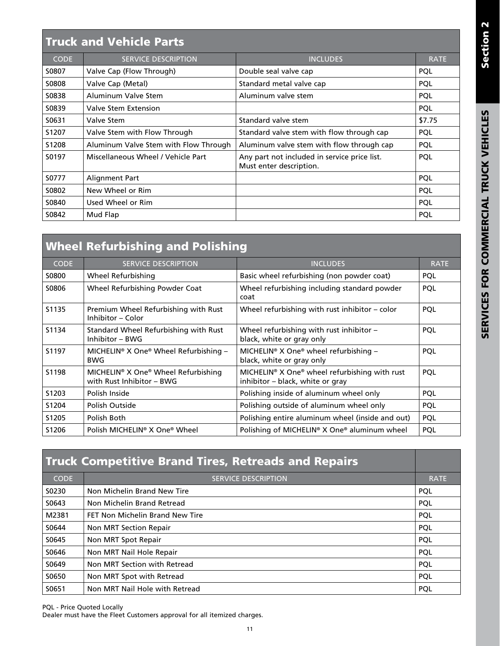|             | <b>Truck and Vehicle Parts</b>        |                                                                         |             |  |  |  |
|-------------|---------------------------------------|-------------------------------------------------------------------------|-------------|--|--|--|
| <b>CODE</b> | <b>SERVICE DESCRIPTION</b>            | <b>INCLUDES</b>                                                         | <b>RATE</b> |  |  |  |
| S0807       | Valve Cap (Flow Through)              | Double seal valve cap                                                   | <b>POL</b>  |  |  |  |
| S0808       | Valve Cap (Metal)                     | Standard metal valve cap                                                | <b>POL</b>  |  |  |  |
| S0838       | Aluminum Valve Stem                   | Aluminum valve stem                                                     | <b>PQL</b>  |  |  |  |
| S0839       | Valve Stem Extension                  |                                                                         | <b>PQL</b>  |  |  |  |
| S0631       | Valve Stem                            | Standard valve stem                                                     | \$7.75      |  |  |  |
| S1207       | Valve Stem with Flow Through          | Standard valve stem with flow through cap                               | <b>PQL</b>  |  |  |  |
| S1208       | Aluminum Valve Stem with Flow Through | Aluminum valve stem with flow through cap                               | <b>PQL</b>  |  |  |  |
| S0197       | Miscellaneous Wheel / Vehicle Part    | Any part not included in service price list.<br>Must enter description. | <b>PQL</b>  |  |  |  |
| S0777       | Alignment Part                        |                                                                         | <b>POL</b>  |  |  |  |
| S0802       | New Wheel or Rim                      |                                                                         | <b>PQL</b>  |  |  |  |
| S0840       | Used Wheel or Rim                     |                                                                         | <b>PQL</b>  |  |  |  |
| S0842       | Mud Flap                              |                                                                         | <b>POL</b>  |  |  |  |
|             |                                       |                                                                         |             |  |  |  |

# Wheel Refurbishing and Polishing

| <b>CODE</b>       | <b>SERVICE DESCRIPTION</b>                                       | <b>INCLUDES</b>                                                                   | <b>RATE</b> |
|-------------------|------------------------------------------------------------------|-----------------------------------------------------------------------------------|-------------|
| S0800             | Wheel Refurbishing                                               | Basic wheel refurbishing (non powder coat)                                        | <b>POL</b>  |
| S0806             | Wheel Refurbishing Powder Coat                                   | Wheel refurbishing including standard powder<br>coat                              | <b>POL</b>  |
| S1135             | Premium Wheel Refurbishing with Rust<br>Inhibitor – Color        | Wheel refurbishing with rust inhibitor $-$ color                                  | <b>POL</b>  |
| S1134             | Standard Wheel Refurbishing with Rust<br>Inhibitor – BWG         | Wheel refurbishing with rust inhibitor $-$<br>black, white or gray only           | <b>POL</b>  |
| S1197             | MICHELIN® X One® Wheel Refurbishing -<br><b>BWG</b>              | MICHELIN® X One® wheel refurbishing $-$<br>black, white or gray only              | <b>POL</b>  |
| S1198             | MICHELIN® X One® Wheel Refurbishing<br>with Rust Inhibitor - BWG | MICHELIN® X One® wheel refurbishing with rust<br>inhibitor - black, white or gray | <b>POL</b>  |
| S <sub>1203</sub> | Polish Inside                                                    | Polishing inside of aluminum wheel only                                           | <b>POL</b>  |
| S1204             | Polish Outside                                                   | Polishing outside of aluminum wheel only                                          | <b>POL</b>  |
| S1205             | Polish Both                                                      | Polishing entire aluminum wheel (inside and out)                                  | <b>PQL</b>  |
| S1206             | Polish MICHELIN <sup>®</sup> X One <sup>®</sup> Wheel            | Polishing of MICHELIN® X One® aluminum wheel                                      | <b>POL</b>  |

| <b>Truck Competitive Brand Tires, Retreads and Repairs</b> |                                 |             |  |  |
|------------------------------------------------------------|---------------------------------|-------------|--|--|
| <b>CODE</b>                                                | <b>SERVICE DESCRIPTION</b>      | <b>RATE</b> |  |  |
| S0230                                                      | Non Michelin Brand New Tire     | <b>POL</b>  |  |  |
| S0643                                                      | Non Michelin Brand Retread      | <b>POL</b>  |  |  |
| M2381                                                      | FET Non Michelin Brand New Tire | <b>POL</b>  |  |  |
| S0644                                                      | Non MRT Section Repair          | PQL         |  |  |
| S0645                                                      | Non MRT Spot Repair             | <b>POL</b>  |  |  |
| S0646                                                      | Non MRT Nail Hole Repair        | <b>POL</b>  |  |  |
| S0649                                                      | Non MRT Section with Retread    | PQL         |  |  |
| S0650                                                      | Non MRT Spot with Retread       | <b>POL</b>  |  |  |
| S0651                                                      | Non MRT Nail Hole with Retread  | <b>POL</b>  |  |  |

PQL - Price Quoted Locally

Dealer must have the Fleet Customers approval for all itemized charges.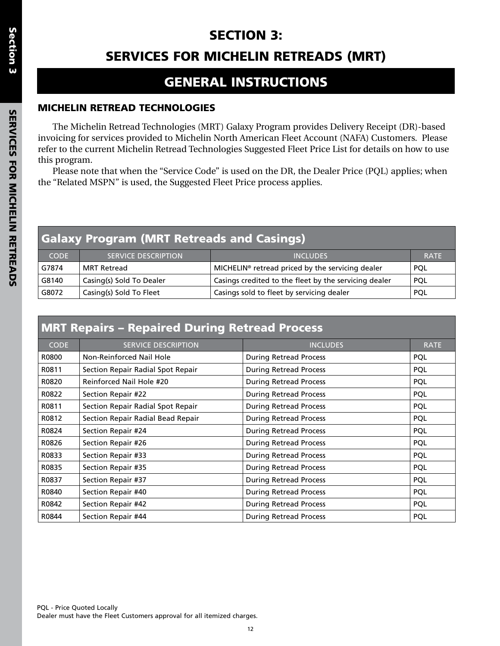# SECTION 3:

# SERVICES FOR MICHELIN RETREADS (MRT)

# GENERAL INSTRUCTIONS

## MICHELIN RETREAD TECHNOLOGIES

The Michelin Retread Technologies (MRT) Galaxy Program provides Delivery Receipt (DR)-based invoicing for services provided to Michelin North American Fleet Account (NAFA) Customers. Please refer to the current Michelin Retread Technologies Suggested Fleet Price List for details on how to use this program.

Please note that when the "Service Code" is used on the DR, the Dealer Price (PQL) applies; when the "Related MSPN" is used, the Suggested Fleet Price process applies.

| <b>Galaxy Program (MRT Retreads and Casings)</b> |                            |                                                              |             |  |
|--------------------------------------------------|----------------------------|--------------------------------------------------------------|-------------|--|
| <b>CODE</b>                                      | <b>SERVICE DESCRIPTION</b> | <b>INCLUDES</b>                                              | <b>RATE</b> |  |
| G7874                                            | <b>MRT Retread</b>         | MICHELIN <sup>®</sup> retread priced by the servicing dealer | <b>POL</b>  |  |
| G8140                                            | Casing(s) Sold To Dealer   | Casings credited to the fleet by the servicing dealer        | <b>POL</b>  |  |
| G8072                                            | Casing(s) Sold To Fleet    | Casings sold to fleet by servicing dealer                    | <b>POL</b>  |  |

|  |  | <b>MRT Repairs - Repaired During Retread Process</b> |  |  |  |
|--|--|------------------------------------------------------|--|--|--|
|--|--|------------------------------------------------------|--|--|--|

| <b>CODE</b> | <b>SERVICE DESCRIPTION</b>        | <b>INCLUDES</b>               | <b>RATE</b> |
|-------------|-----------------------------------|-------------------------------|-------------|
| R0800       | Non-Reinforced Nail Hole          | <b>During Retread Process</b> | PQL         |
| R0811       | Section Repair Radial Spot Repair | <b>During Retread Process</b> | PQL         |
| R0820       | Reinforced Nail Hole #20          | <b>During Retread Process</b> | <b>PQL</b>  |
| R0822       | Section Repair #22                | <b>During Retread Process</b> | <b>PQL</b>  |
| R0811       | Section Repair Radial Spot Repair | <b>During Retread Process</b> | <b>PQL</b>  |
| R0812       | Section Repair Radial Bead Repair | <b>During Retread Process</b> | <b>PQL</b>  |
| R0824       | Section Repair #24                | <b>During Retread Process</b> | <b>PQL</b>  |
| R0826       | Section Repair #26                | <b>During Retread Process</b> | <b>PQL</b>  |
| R0833       | Section Repair #33                | <b>During Retread Process</b> | PQL         |
| R0835       | Section Repair #35                | <b>During Retread Process</b> | <b>PQL</b>  |
| R0837       | Section Repair #37                | <b>During Retread Process</b> | <b>PQL</b>  |
| R0840       | Section Repair #40                | <b>During Retread Process</b> | <b>PQL</b>  |
| R0842       | Section Repair #42                | <b>During Retread Process</b> | <b>PQL</b>  |
| R0844       | Section Repair #44                | <b>During Retread Process</b> | <b>PQL</b>  |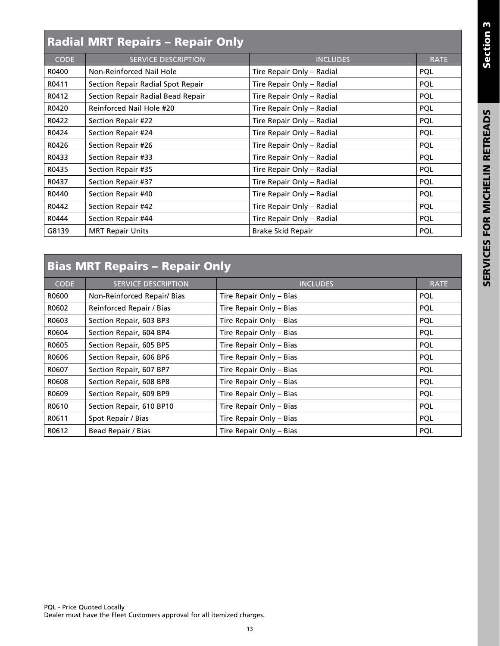# Radial MRT Repairs – Repair Only

| <b>CODE</b> | <b>SERVICE DESCRIPTION</b>        | <b>INCLUDES</b>           | <b>RATE</b> |
|-------------|-----------------------------------|---------------------------|-------------|
| R0400       | Non-Reinforced Nail Hole          | Tire Repair Only - Radial | <b>PQL</b>  |
| R0411       | Section Repair Radial Spot Repair | Tire Repair Only - Radial | <b>POL</b>  |
| R0412       | Section Repair Radial Bead Repair | Tire Repair Only - Radial | <b>PQL</b>  |
| R0420       | Reinforced Nail Hole #20          | Tire Repair Only - Radial | <b>PQL</b>  |
| R0422       | Section Repair #22                | Tire Repair Only - Radial | <b>PQL</b>  |
| R0424       | Section Repair #24                | Tire Repair Only - Radial | PQL         |
| R0426       | Section Repair #26                | Tire Repair Only - Radial | <b>PQL</b>  |
| R0433       | Section Repair #33                | Tire Repair Only - Radial | <b>PQL</b>  |
| R0435       | Section Repair #35                | Tire Repair Only - Radial | <b>PQL</b>  |
| R0437       | Section Repair #37                | Tire Repair Only - Radial | <b>PQL</b>  |
| R0440       | Section Repair #40                | Tire Repair Only - Radial | PQL         |
| R0442       | Section Repair #42                | Tire Repair Only - Radial | <b>PQL</b>  |
| R0444       | Section Repair #44                | Tire Repair Only - Radial | <b>PQL</b>  |
| G8139       | <b>MRT Repair Units</b>           | Brake Skid Repair         | <b>POL</b>  |
|             |                                   |                           |             |

# Bias MRT Repairs – Repair Only

| <b>CODE</b> | <b>SERVICE DESCRIPTION</b>  | <b>INCLUDES</b>         | <b>RATE</b> |
|-------------|-----------------------------|-------------------------|-------------|
| R0600       | Non-Reinforced Repair/ Bias | Tire Repair Only - Bias | <b>POL</b>  |
| R0602       | Reinforced Repair / Bias    | Tire Repair Only - Bias | <b>PQL</b>  |
| R0603       | Section Repair, 603 BP3     | Tire Repair Only - Bias | <b>PQL</b>  |
| R0604       | Section Repair, 604 BP4     | Tire Repair Only - Bias | <b>PQL</b>  |
| R0605       | Section Repair, 605 BP5     | Tire Repair Only - Bias | <b>PQL</b>  |
| R0606       | Section Repair, 606 BP6     | Tire Repair Only - Bias | <b>PQL</b>  |
| R0607       | Section Repair, 607 BP7     | Tire Repair Only - Bias | <b>PQL</b>  |
| R0608       | Section Repair, 608 BP8     | Tire Repair Only - Bias | <b>POL</b>  |
| R0609       | Section Repair, 609 BP9     | Tire Repair Only - Bias | <b>POL</b>  |
| R0610       | Section Repair, 610 BP10    | Tire Repair Only – Bias | <b>PQL</b>  |
| R0611       | Spot Repair / Bias          | Tire Repair Only - Bias | <b>PQL</b>  |
| R0612       | Bead Repair / Bias          | Tire Repair Only - Bias | PQL         |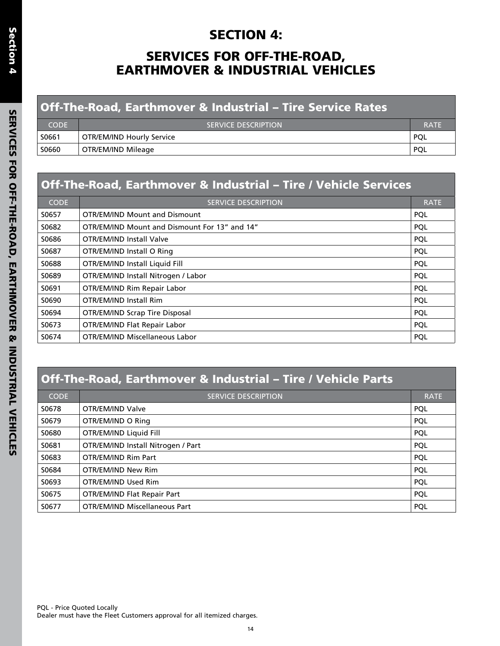# SECTION 4:

# SERVICES FOR OFF-THE-ROAD, EARTHMOVER & INDUSTRIAL VEHICLES

| <b>Off-The-Road, Earthmover &amp; Industrial - Tire Service Rates</b> |                                  |             |
|-----------------------------------------------------------------------|----------------------------------|-------------|
| <b>CODE</b>                                                           | <b>SERVICE DESCRIPTION</b>       | <b>RATE</b> |
| S0661                                                                 | <b>OTR/EM/IND Hourly Service</b> | <b>POL</b>  |
| S0660                                                                 | OTR/EM/IND Mileage               | POL         |

# Off-The-Road, Earthmover & Industrial – Tire / Vehicle Services

| <b>CODE</b> | <b>SERVICE DESCRIPTION</b>                    | <b>RATE</b> |
|-------------|-----------------------------------------------|-------------|
| S0657       | <b>OTR/EM/IND Mount and Dismount</b>          | <b>POL</b>  |
| S0682       | OTR/EM/IND Mount and Dismount For 13" and 14" | <b>POL</b>  |
| S0686       | <b>OTR/EM/IND Install Valve</b>               | <b>POL</b>  |
| S0687       | OTR/EM/IND Install O Ring                     | <b>PQL</b>  |
| S0688       | OTR/EM/IND Install Liquid Fill                | <b>POL</b>  |
| S0689       | OTR/EM/IND Install Nitrogen / Labor           | <b>POL</b>  |
| S0691       | OTR/EM/IND Rim Repair Labor                   | <b>POL</b>  |
| S0690       | OTR/EM/IND Install Rim                        | <b>POL</b>  |
| S0694       | <b>OTR/EM/IND Scrap Tire Disposal</b>         | <b>PQL</b>  |
| S0673       | OTR/EM/IND Flat Repair Labor                  | <b>POL</b>  |
| S0674       | OTR/EM/IND Miscellaneous Labor                | <b>POL</b>  |

# Off-The-Road, Earthmover & Industrial – Tire / Vehicle Parts

| <b>CODE</b> | <b>SERVICE DESCRIPTION</b>           | <b>RATE</b> |
|-------------|--------------------------------------|-------------|
| S0678       | OTR/EM/IND Valve                     | PQL         |
| S0679       | OTR/EM/IND O Ring                    | <b>PQL</b>  |
| S0680       | OTR/EM/IND Liquid Fill               | PQL         |
| S0681       | OTR/EM/IND Install Nitrogen / Part   | PQL         |
| S0683       | OTR/EM/IND Rim Part                  | PQL         |
| S0684       | OTR/EM/IND New Rim                   | PQL         |
| S0693       | OTR/EM/IND Used Rim                  | <b>POL</b>  |
| S0675       | OTR/EM/IND Flat Repair Part          | PQL         |
| S0677       | <b>OTR/EM/IND Miscellaneous Part</b> | <b>PQL</b>  |

PQL - Price Quoted Locally Dealer must have the Fleet Customers approval for all itemized charges.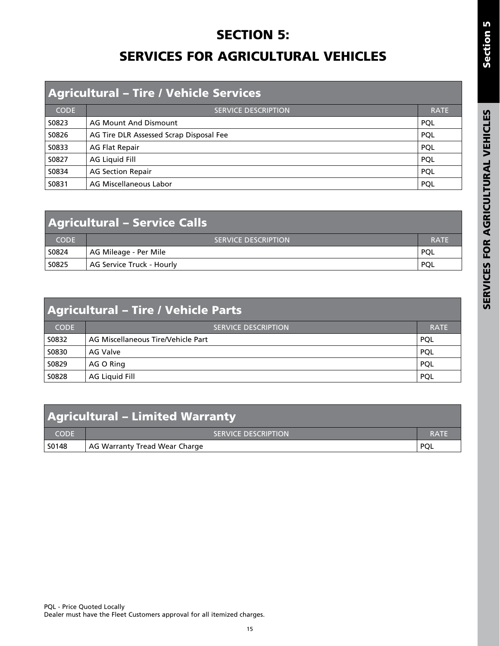# **SECTION 5:** SERVICES FOR AGRICULTURAL VEHICLES

| <b>Agricultural - Tire / Vehicle Services</b> |                                         |             |
|-----------------------------------------------|-----------------------------------------|-------------|
| <b>CODE</b>                                   | <b>SERVICE DESCRIPTION</b>              | <b>RATE</b> |
| S0823                                         | <b>AG Mount And Dismount</b>            | <b>POL</b>  |
| S0826                                         | AG Tire DLR Assessed Scrap Disposal Fee | <b>POL</b>  |
| S0833                                         | <b>AG Flat Repair</b>                   | PQL         |
| S0827                                         | AG Liquid Fill                          | <b>POL</b>  |
| S0834                                         | <b>AG Section Repair</b>                | <b>POL</b>  |
| S0831                                         | AG Miscellaneous Labor                  | <b>POL</b>  |

| <b>Agricultural - Service Calls</b> |                            |             |
|-------------------------------------|----------------------------|-------------|
| <b>CODE</b>                         | <b>SERVICE DESCRIPTION</b> | <b>RATE</b> |
| S0824                               | AG Mileage - Per Mile      | <b>POL</b>  |
| S0825                               | AG Service Truck - Hourly  | <b>POL</b>  |

| <b>Agricultural - Tire / Vehicle Parts</b> |                                    |             |
|--------------------------------------------|------------------------------------|-------------|
| <b>CODE</b>                                | <b>SERVICE DESCRIPTION</b>         | <b>RATE</b> |
| S0832                                      | AG Miscellaneous Tire/Vehicle Part | <b>POL</b>  |
| S0830                                      | AG Valve                           | <b>POL</b>  |
| S0829                                      | AG O Ring                          | <b>POL</b>  |
| S0828                                      | AG Liquid Fill                     | <b>POL</b>  |

| <b>Agricultural - Limited Warranty</b> |                               |             |
|----------------------------------------|-------------------------------|-------------|
| <b>CODE</b>                            | <b>SERVICE DESCRIPTION</b>    | <b>RATE</b> |
| S0148                                  | AG Warranty Tread Wear Charge | <b>POL</b>  |

Section 5

Section 5

15